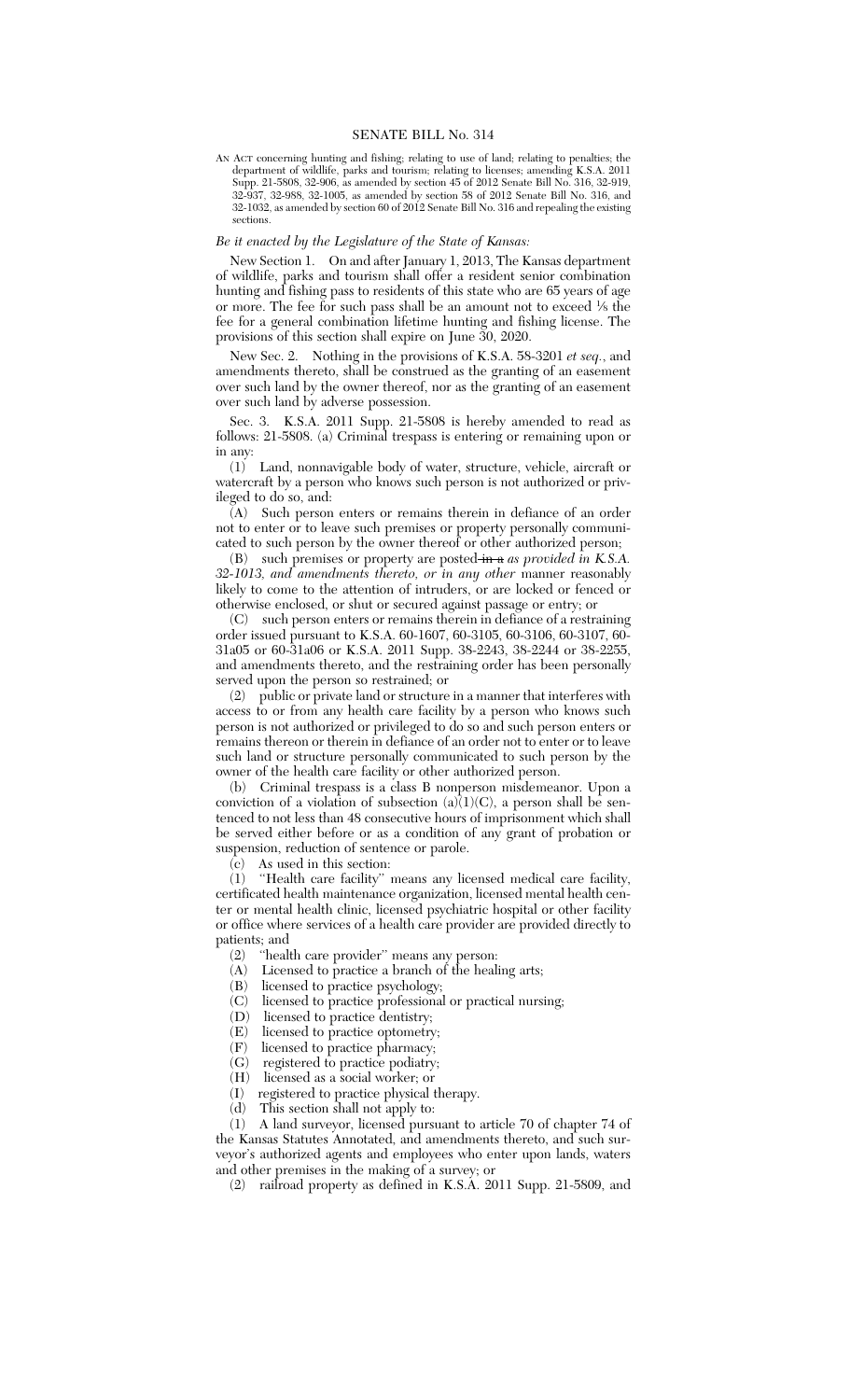#### SENATE BILL No. 314

AN ACT concerning hunting and fishing; relating to use of land; relating to penalties; the department of wildlife, parks and tourism; relating to licenses; amending K.S.A. 2011 Supp. 21-5808, 32-906, as amended by section 45 of 2012 Senate Bill No. 316, 32-919, 32-937, 32-988, 32-1005, as amended by section 58 of 2012 Senate Bill No. 316, and 32-1032, as amended by section 60 of 2012 Senate Bill No. 316 and repealing the existing sections.

## *Be it enacted by the Legislature of the State of Kansas:*

New Section 1. On and after January 1, 2013, The Kansas department of wildlife, parks and tourism shall offer a resident senior combination hunting and fishing pass to residents of this state who are 65 years of age or more. The fee for such pass shall be an amount not to exceed <sup>1</sup> ⁄8 the fee for a general combination lifetime hunting and fishing license. The provisions of this section shall expire on June 30, 2020.

New Sec. 2. Nothing in the provisions of K.S.A. 58-3201 *et seq.*, and amendments thereto, shall be construed as the granting of an easement over such land by the owner thereof, nor as the granting of an easement over such land by adverse possession.

Sec. 3. K.S.A. 2011 Supp. 21-5808 is hereby amended to read as follows: 21-5808. (a) Criminal trespass is entering or remaining upon or in any:

(1) Land, nonnavigable body of water, structure, vehicle, aircraft or watercraft by a person who knows such person is not authorized or privileged to do so, and:

(A) Such person enters or remains therein in defiance of an order not to enter or to leave such premises or property personally communicated to such person by the owner thereof or other authorized person;

(B) such premises or property are posted-in a *as provided* in K.S.A. *32-1013, and amendments thereto, or in any other* manner reasonably likely to come to the attention of intruders, or are locked or fenced or otherwise enclosed, or shut or secured against passage or entry; or

(C) such person enters or remains therein in defiance of a restraining order issued pursuant to K.S.A. 60-1607, 60-3105, 60-3106, 60-3107, 60- 31a05 or 60-31a06 or K.S.A. 2011 Supp. 38-2243, 38-2244 or 38-2255, and amendments thereto, and the restraining order has been personally served upon the person so restrained; or

(2) public or private land or structure in a manner that interferes with access to or from any health care facility by a person who knows such person is not authorized or privileged to do so and such person enters or remains thereon or therein in defiance of an order not to enter or to leave such land or structure personally communicated to such person by the owner of the health care facility or other authorized person.

(b) Criminal trespass is a class B nonperson misdemeanor. Upon a conviction of a violation of subsection  $(a)(1)(C)$ , a person shall be sentenced to not less than 48 consecutive hours of imprisonment which shall be served either before or as a condition of any grant of probation or suspension, reduction of sentence or parole.

 $\overline{\text{(c)}}$  As used in this section:<br>(1) "Health care facility"

"Health care facility" means any licensed medical care facility, certificated health maintenance organization, licensed mental health center or mental health clinic, licensed psychiatric hospital or other facility or office where services of a health care provider are provided directly to patients; and<br>(2) "healt

(2) "health care provider" means any person:<br>(A) Licensed to practice a branch of the heal

- Licensed to practice a branch of the healing arts;
- (B) licensed to practice psychology;
- (C) licensed to practice professional or practical nursing;
- (D) licensed to practice dentistry;<br>(E) licensed to practice optometry
- licensed to practice optometry;
- (F) licensed to practice pharmacy;
- (G) registered to practice podiatry;
- $(H)$  licensed as a social worker; or  $(I)$  registered to practice physical i
- registered to practice physical therapy.
- (d) This section shall not apply to:

(1) A land surveyor, licensed pursuant to article 70 of chapter 74 of the Kansas Statutes Annotated, and amendments thereto, and such surveyor's authorized agents and employees who enter upon lands, waters and other premises in the making of a survey; or

(2) railroad property as defined in K.S.A. 2011 Supp. 21-5809, and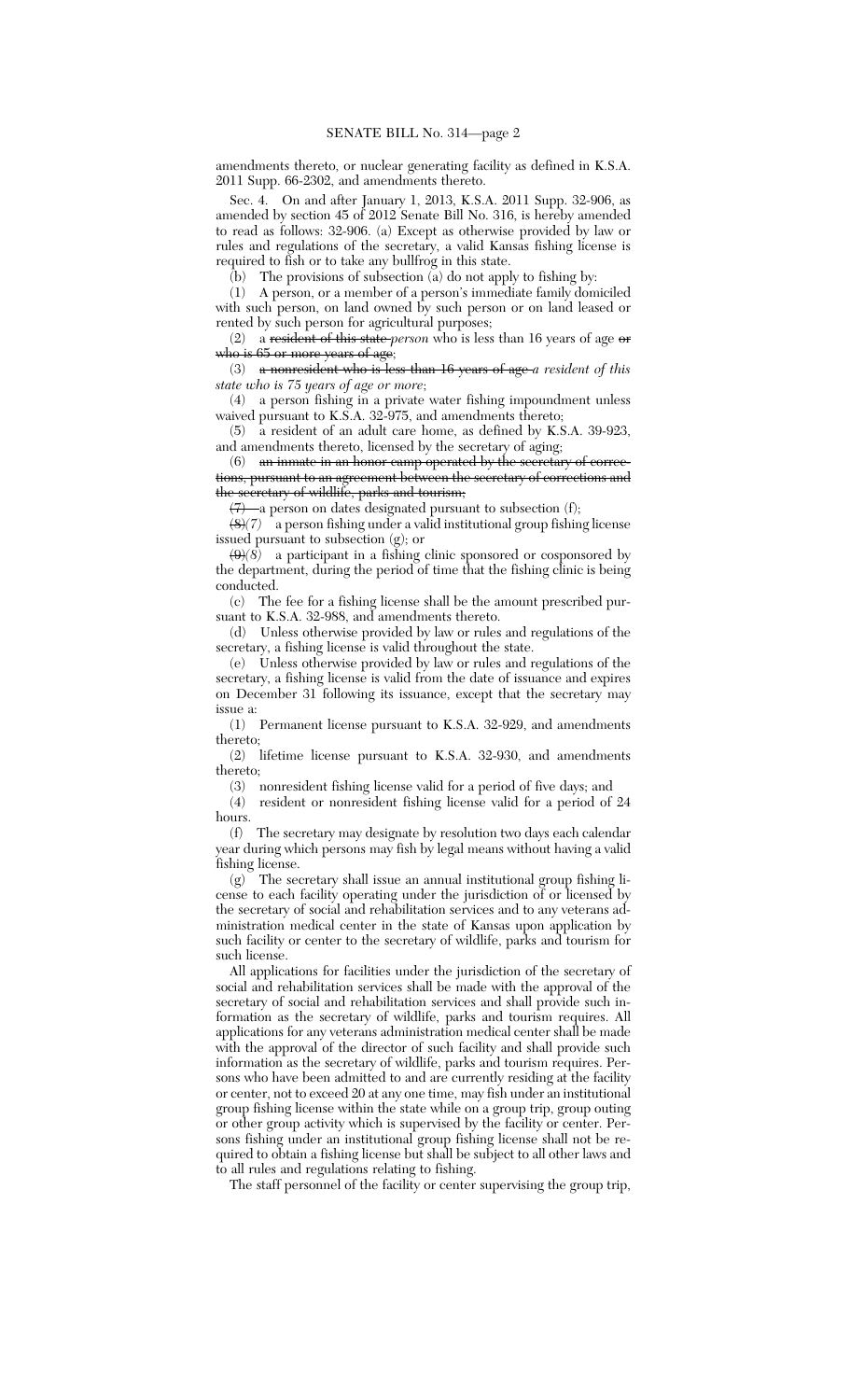amendments thereto, or nuclear generating facility as defined in K.S.A. 2011 Supp. 66-2302, and amendments thereto.

Sec. 4. On and after January 1, 2013, K.S.A. 2011 Supp. 32-906, as amended by section 45 of 2012 Senate Bill No. 316, is hereby amended to read as follows: 32-906. (a) Except as otherwise provided by law or rules and regulations of the secretary, a valid Kansas fishing license is required to fish or to take any bullfrog in this state.

(b) The provisions of subsection (a) do not apply to fishing by:

(1) A person, or a member of a person's immediate family domiciled with such person, on land owned by such person or on land leased or rented by such person for agricultural purposes;

(2) a resident of this state *person* who is less than 16 years of age or who is 65 or more years of age;

(3) a nonresident who is less than 16 years of age *a resident of this state who is 75 years of age or more*;

(4) a person fishing in a private water fishing impoundment unless waived pursuant to K.S.A. 32-975, and amendments thereto;

(5) a resident of an adult care home, as defined by K.S.A. 39-923, and amendments thereto, licensed by the secretary of aging;

(6) an inmate in an honor camp operated by the secretary of corrections, pursuant to an agreement between the secretary of corrections and the secretary of wildlife, parks and tourism;

 $(7)$  a person on dates designated pursuant to subsection (f);

(8)*(7)* a person fishing under a valid institutional group fishing license issued pursuant to subsection (g); or

 $\left(\frac{\Theta}{\delta}\right)$  a participant in a fishing clinic sponsored or cosponsored by the department, during the period of time that the fishing clinic is being conducted.

(c) The fee for a fishing license shall be the amount prescribed pursuant to K.S.A. 32-988, and amendments thereto.

(d) Unless otherwise provided by law or rules and regulations of the secretary, a fishing license is valid throughout the state.

(e) Unless otherwise provided by law or rules and regulations of the secretary, a fishing license is valid from the date of issuance and expires on December 31 following its issuance, except that the secretary may issue a:

(1) Permanent license pursuant to K.S.A. 32-929, and amendments thereto;

(2) lifetime license pursuant to K.S.A. 32-930, and amendments thereto;

(3) nonresident fishing license valid for a period of five days; and (4) resident or nonresident fishing license valid for a period of

resident or nonresident fishing license valid for a period of 24 hours.

(f) The secretary may designate by resolution two days each calendar year during which persons may fish by legal means without having a valid fishing license.

(g) The secretary shall issue an annual institutional group fishing license to each facility operating under the jurisdiction of or licensed by the secretary of social and rehabilitation services and to any veterans administration medical center in the state of Kansas upon application by such facility or center to the secretary of wildlife, parks and tourism for such license.

All applications for facilities under the jurisdiction of the secretary of social and rehabilitation services shall be made with the approval of the secretary of social and rehabilitation services and shall provide such information as the secretary of wildlife, parks and tourism requires. All applications for any veterans administration medical center shall be made with the approval of the director of such facility and shall provide such information as the secretary of wildlife, parks and tourism requires. Persons who have been admitted to and are currently residing at the facility or center, not to exceed 20 at any one time, may fish under an institutional group fishing license within the state while on a group trip, group outing or other group activity which is supervised by the facility or center. Persons fishing under an institutional group fishing license shall not be required to obtain a fishing license but shall be subject to all other laws and to all rules and regulations relating to fishing.

The staff personnel of the facility or center supervising the group trip,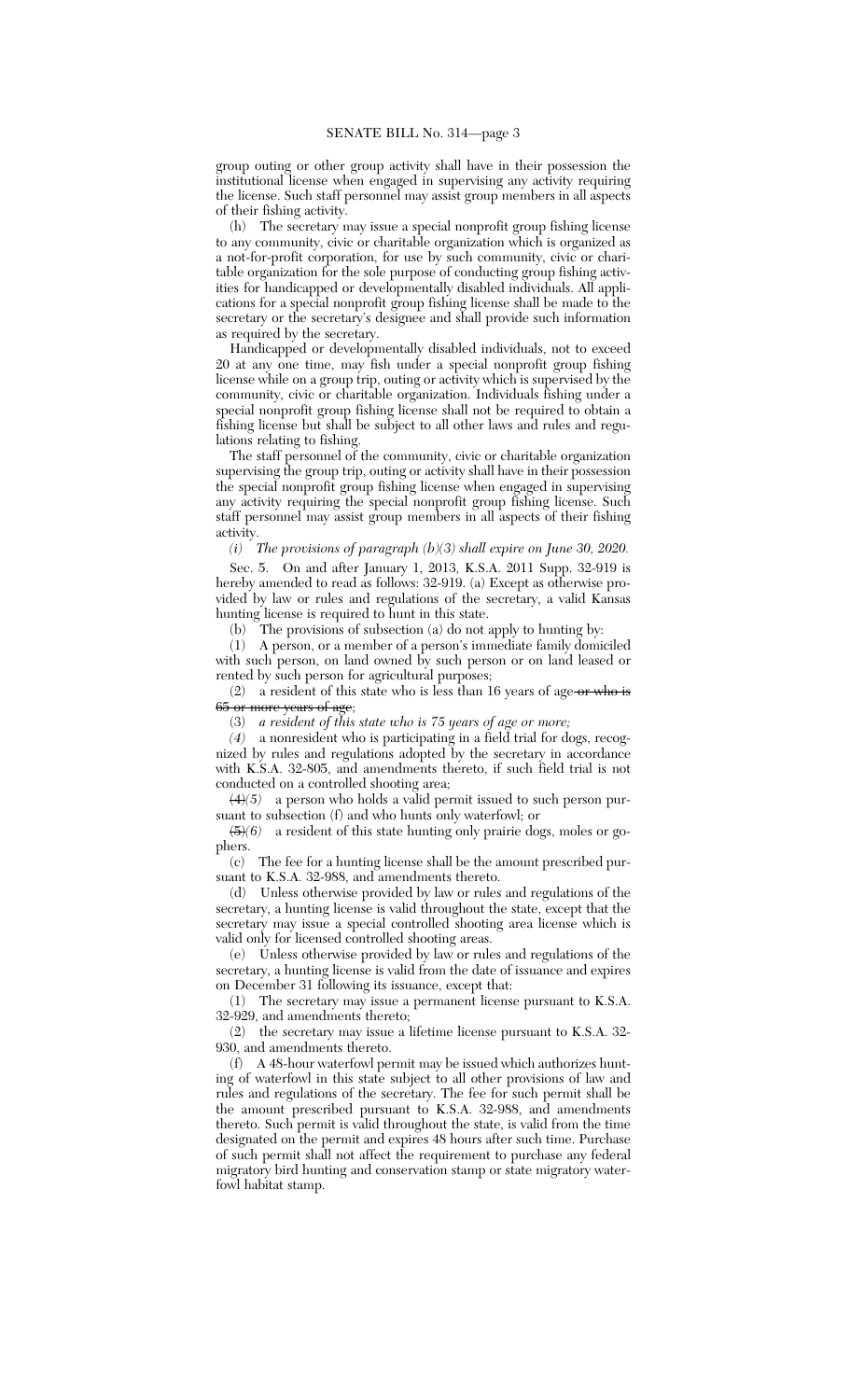group outing or other group activity shall have in their possession the institutional license when engaged in supervising any activity requiring the license. Such staff personnel may assist group members in all aspects of their fishing activity.

(h) The secretary may issue a special nonprofit group fishing license to any community, civic or charitable organization which is organized as a not-for-profit corporation, for use by such community, civic or charitable organization for the sole purpose of conducting group fishing activities for handicapped or developmentally disabled individuals. All applications for a special nonprofit group fishing license shall be made to the secretary or the secretary's designee and shall provide such information as required by the secretary.

Handicapped or developmentally disabled individuals, not to exceed 20 at any one time, may fish under a special nonprofit group fishing license while on a group trip, outing or activity which is supervised by the community, civic or charitable organization. Individuals fishing under a special nonprofit group fishing license shall not be required to obtain a fishing license but shall be subject to all other laws and rules and regulations relating to fishing.

The staff personnel of the community, civic or charitable organization supervising the group trip, outing or activity shall have in their possession the special nonprofit group fishing license when engaged in supervising any activity requiring the special nonprofit group fishing license. Such staff personnel may assist group members in all aspects of their fishing activity.

# *(i) The provisions of paragraph (b)(3) shall expire on June 30, 2020.*

Sec. 5. On and after January 1, 2013, K.S.A. 2011 Supp. 32-919 is hereby amended to read as follows: 32-919. (a) Except as otherwise provided by law or rules and regulations of the secretary, a valid Kansas hunting license is required to hunt in this state.

(b) The provisions of subsection (a) do not apply to hunting by:

(1) A person, or a member of a person's immediate family domiciled with such person, on land owned by such person or on land leased or rented by such person for agricultural purposes;

(2) a resident of this state who is less than 16 years of age or who is 65 or more years of age;

(3) *a resident of this state who is 75 years of age or more;*

*(4)* a nonresident who is participating in a field trial for dogs, recognized by rules and regulations adopted by the secretary in accordance with K.S.A. 32-805, and amendments thereto, if such field trial is not conducted on a controlled shooting area;

(4)*(5)* a person who holds a valid permit issued to such person pursuant to subsection (f) and who hunts only waterfowl; or

(5)*(6)* a resident of this state hunting only prairie dogs, moles or gophers.

(c) The fee for a hunting license shall be the amount prescribed pursuant to K.S.A. 32-988, and amendments thereto.

(d) Unless otherwise provided by law or rules and regulations of the secretary, a hunting license is valid throughout the state, except that the secretary may issue a special controlled shooting area license which is valid only for licensed controlled shooting areas.

(e) Unless otherwise provided by law or rules and regulations of the secretary, a hunting license is valid from the date of issuance and expires on December 31 following its issuance, except that:

(1) The secretary may issue a permanent license pursuant to K.S.A. 32-929, and amendments thereto;

(2) the secretary may issue a lifetime license pursuant to K.S.A. 32- 930, and amendments thereto.

(f) A 48-hour waterfowl permit may be issued which authorizes hunting of waterfowl in this state subject to all other provisions of law and rules and regulations of the secretary. The fee for such permit shall be the amount prescribed pursuant to K.S.A. 32-988, and amendments thereto. Such permit is valid throughout the state, is valid from the time designated on the permit and expires 48 hours after such time. Purchase of such permit shall not affect the requirement to purchase any federal migratory bird hunting and conservation stamp or state migratory waterfowl habitat stamp.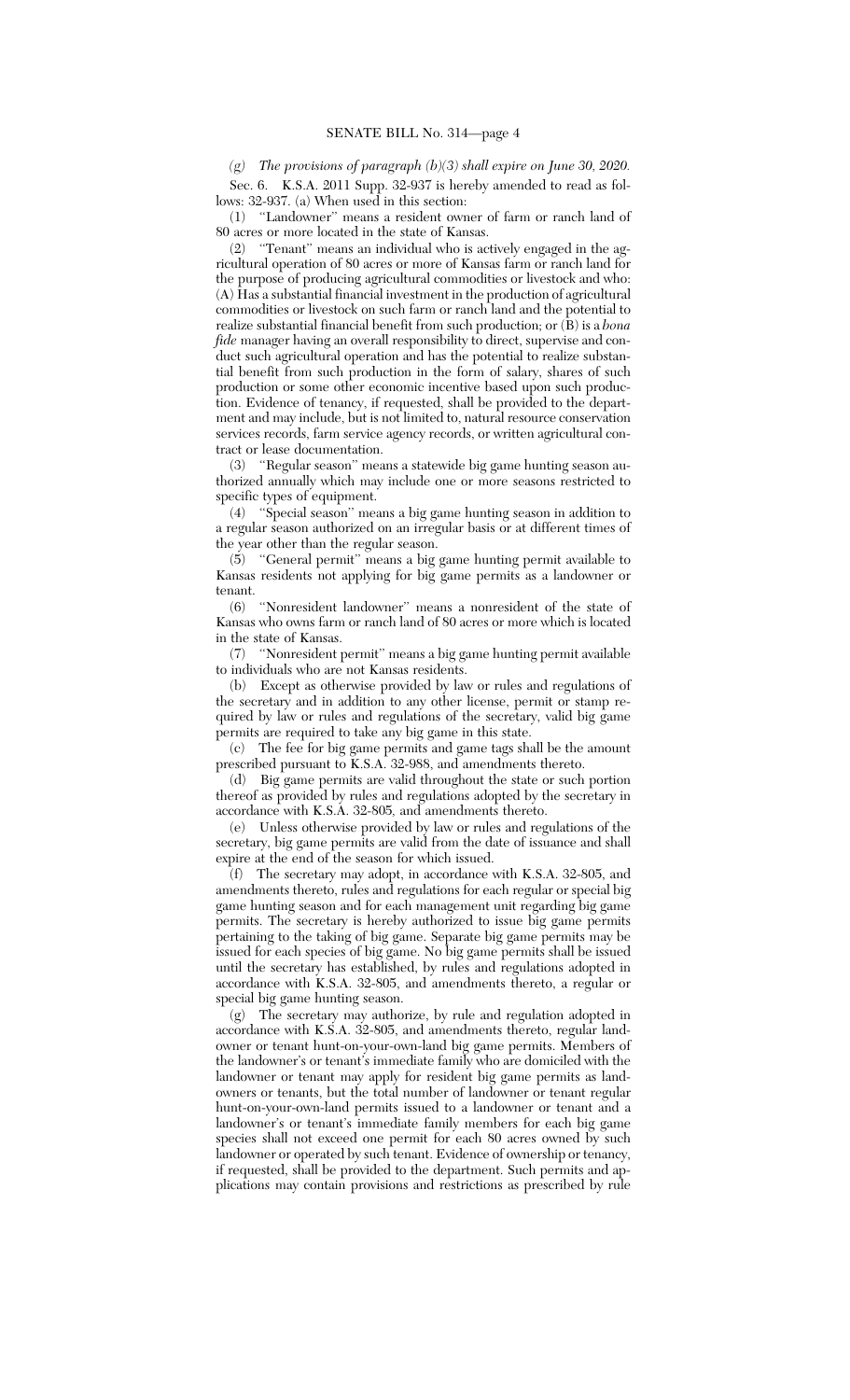#### *(g) The provisions of paragraph (b)(3) shall expire on June 30, 2020.*

Sec. 6. K.S.A. 2011 Supp. 32-937 is hereby amended to read as follows: 32-937. (a) When used in this section:

(1) ''Landowner'' means a resident owner of farm or ranch land of 80 acres or more located in the state of Kansas.

(2) ''Tenant'' means an individual who is actively engaged in the agricultural operation of 80 acres or more of Kansas farm or ranch land for the purpose of producing agricultural commodities or livestock and who: (A) Has a substantial financial investment in the production of agricultural commodities or livestock on such farm or ranch land and the potential to realize substantial financial benefit from such production; or (B) is a *bona fide* manager having an overall responsibility to direct, supervise and conduct such agricultural operation and has the potential to realize substantial benefit from such production in the form of salary, shares of such production or some other economic incentive based upon such production. Evidence of tenancy, if requested, shall be provided to the department and may include, but is not limited to, natural resource conservation services records, farm service agency records, or written agricultural contract or lease documentation.

(3) ''Regular season'' means a statewide big game hunting season authorized annually which may include one or more seasons restricted to specific types of equipment.

(4) ''Special season'' means a big game hunting season in addition to a regular season authorized on an irregular basis or at different times of the year other than the regular season.

(5) ''General permit'' means a big game hunting permit available to Kansas residents not applying for big game permits as a landowner or tenant.

(6) ''Nonresident landowner'' means a nonresident of the state of Kansas who owns farm or ranch land of 80 acres or more which is located in the state of Kansas.

(7) ''Nonresident permit'' means a big game hunting permit available to individuals who are not Kansas residents.

(b) Except as otherwise provided by law or rules and regulations of the secretary and in addition to any other license, permit or stamp required by law or rules and regulations of the secretary, valid big game permits are required to take any big game in this state.

(c) The fee for big game permits and game tags shall be the amount prescribed pursuant to K.S.A. 32-988, and amendments thereto.

(d) Big game permits are valid throughout the state or such portion thereof as provided by rules and regulations adopted by the secretary in accordance with K.S.A. 32-805*,* and amendments thereto.

(e) Unless otherwise provided by law or rules and regulations of the secretary, big game permits are valid from the date of issuance and shall expire at the end of the season for which issued.

(f) The secretary may adopt, in accordance with K.S.A. 32-805, and amendments thereto, rules and regulations for each regular or special big game hunting season and for each management unit regarding big game permits. The secretary is hereby authorized to issue big game permits pertaining to the taking of big game. Separate big game permits may be issued for each species of big game. No big game permits shall be issued until the secretary has established, by rules and regulations adopted in accordance with K.S.A. 32-805, and amendments thereto, a regular or special big game hunting season.

(g) The secretary may authorize, by rule and regulation adopted in accordance with K.S.A. 32-805, and amendments thereto, regular landowner or tenant hunt-on-your-own-land big game permits. Members of the landowner's or tenant's immediate family who are domiciled with the landowner or tenant may apply for resident big game permits as landowners or tenants, but the total number of landowner or tenant regular hunt-on-your-own-land permits issued to a landowner or tenant and a landowner's or tenant's immediate family members for each big game species shall not exceed one permit for each 80 acres owned by such landowner or operated by such tenant. Evidence of ownership or tenancy, if requested, shall be provided to the department. Such permits and applications may contain provisions and restrictions as prescribed by rule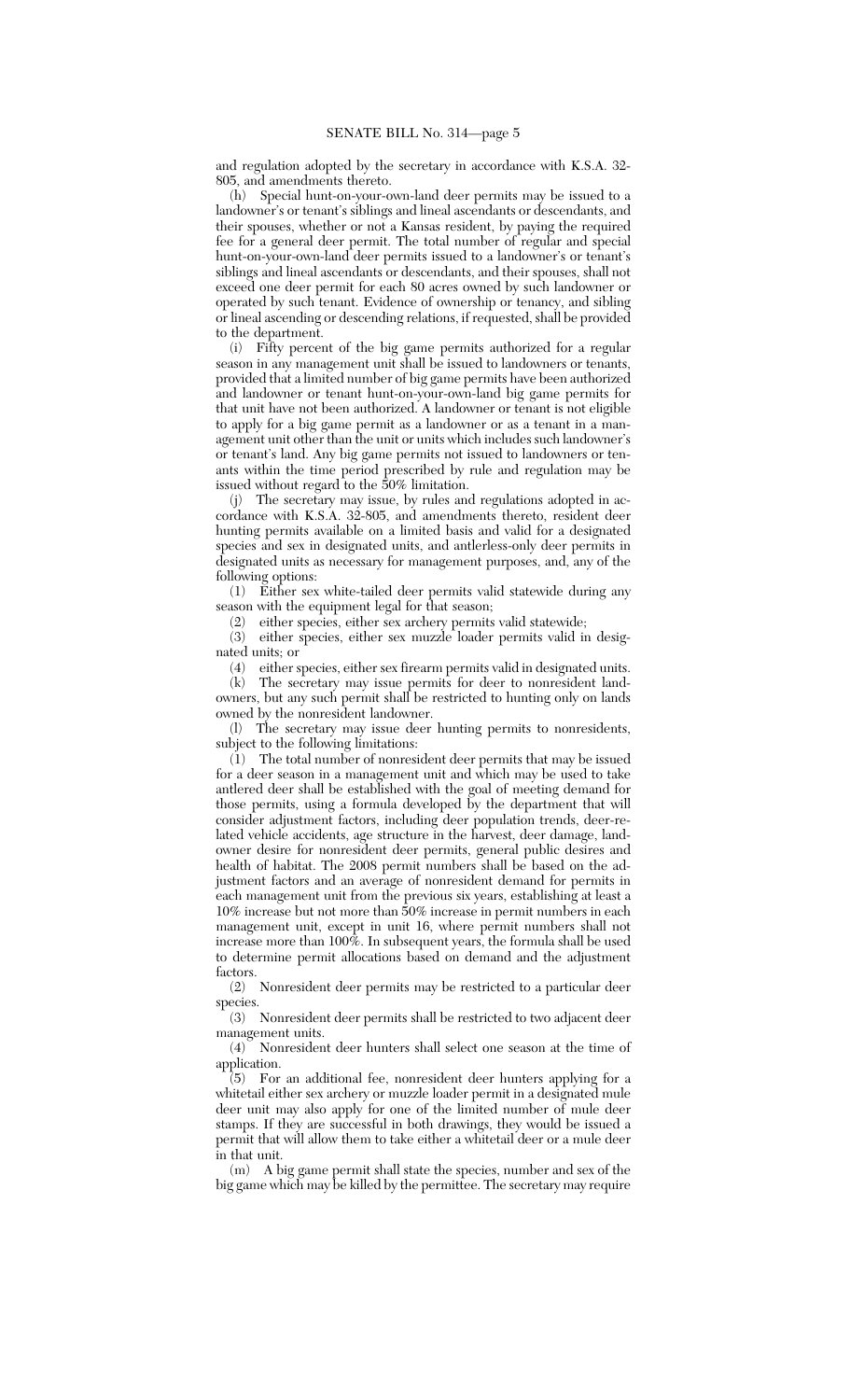and regulation adopted by the secretary in accordance with K.S.A. 32- 805, and amendments thereto.

(h) Special hunt-on-your-own-land deer permits may be issued to a landowner's or tenant's siblings and lineal ascendants or descendants, and their spouses, whether or not a Kansas resident, by paying the required fee for a general deer permit. The total number of regular and special hunt-on-your-own-land deer permits issued to a landowner's or tenant's siblings and lineal ascendants or descendants, and their spouses, shall not exceed one deer permit for each 80 acres owned by such landowner or operated by such tenant. Evidence of ownership or tenancy, and sibling or lineal ascending or descending relations, if requested, shall be provided to the department.

(i) Fifty percent of the big game permits authorized for a regular season in any management unit shall be issued to landowners or tenants, provided that a limited number of big game permits have been authorized and landowner or tenant hunt-on-your-own-land big game permits for that unit have not been authorized. A landowner or tenant is not eligible to apply for a big game permit as a landowner or as a tenant in a management unit other than the unit or units which includes such landowner's or tenant's land. Any big game permits not issued to landowners or tenants within the time period prescribed by rule and regulation may be issued without regard to the 50% limitation.

(j) The secretary may issue, by rules and regulations adopted in accordance with K.S.A. 32-805, and amendments thereto, resident deer hunting permits available on a limited basis and valid for a designated species and sex in designated units, and antlerless-only deer permits in designated units as necessary for management purposes, and, any of the following options:

(1) Either sex white-tailed deer permits valid statewide during any season with the equipment legal for that season;

(2) either species, either sex archery permits valid statewide;

(3) either species, either sex muzzle loader permits valid in designated units; or

(4) either species, either sex firearm permits valid in designated units.

(k) The secretary may issue permits for deer to nonresident landowners, but any such permit shall be restricted to hunting only on lands owned by the nonresident landowner.

(l) The secretary may issue deer hunting permits to nonresidents, subject to the following limitations:

(1) The total number of nonresident deer permits that may be issued for a deer season in a management unit and which may be used to take antlered deer shall be established with the goal of meeting demand for those permits, using a formula developed by the department that will consider adjustment factors, including deer population trends, deer-related vehicle accidents, age structure in the harvest, deer damage, landowner desire for nonresident deer permits, general public desires and health of habitat. The 2008 permit numbers shall be based on the adjustment factors and an average of nonresident demand for permits in each management unit from the previous six years, establishing at least a 10% increase but not more than 50% increase in permit numbers in each management unit, except in unit 16, where permit numbers shall not increase more than 100%. In subsequent years, the formula shall be used to determine permit allocations based on demand and the adjustment factors.

(2) Nonresident deer permits may be restricted to a particular deer species.

(3) Nonresident deer permits shall be restricted to two adjacent deer management units.

(4) Nonresident deer hunters shall select one season at the time of application.

(5) For an additional fee, nonresident deer hunters applying for a whitetail either sex archery or muzzle loader permit in a designated mule deer unit may also apply for one of the limited number of mule deer stamps. If they are successful in both drawings, they would be issued a permit that will allow them to take either a whitetail deer or a mule deer in that unit.

(m) A big game permit shall state the species, number and sex of the big game which may be killed by the permittee. The secretary may require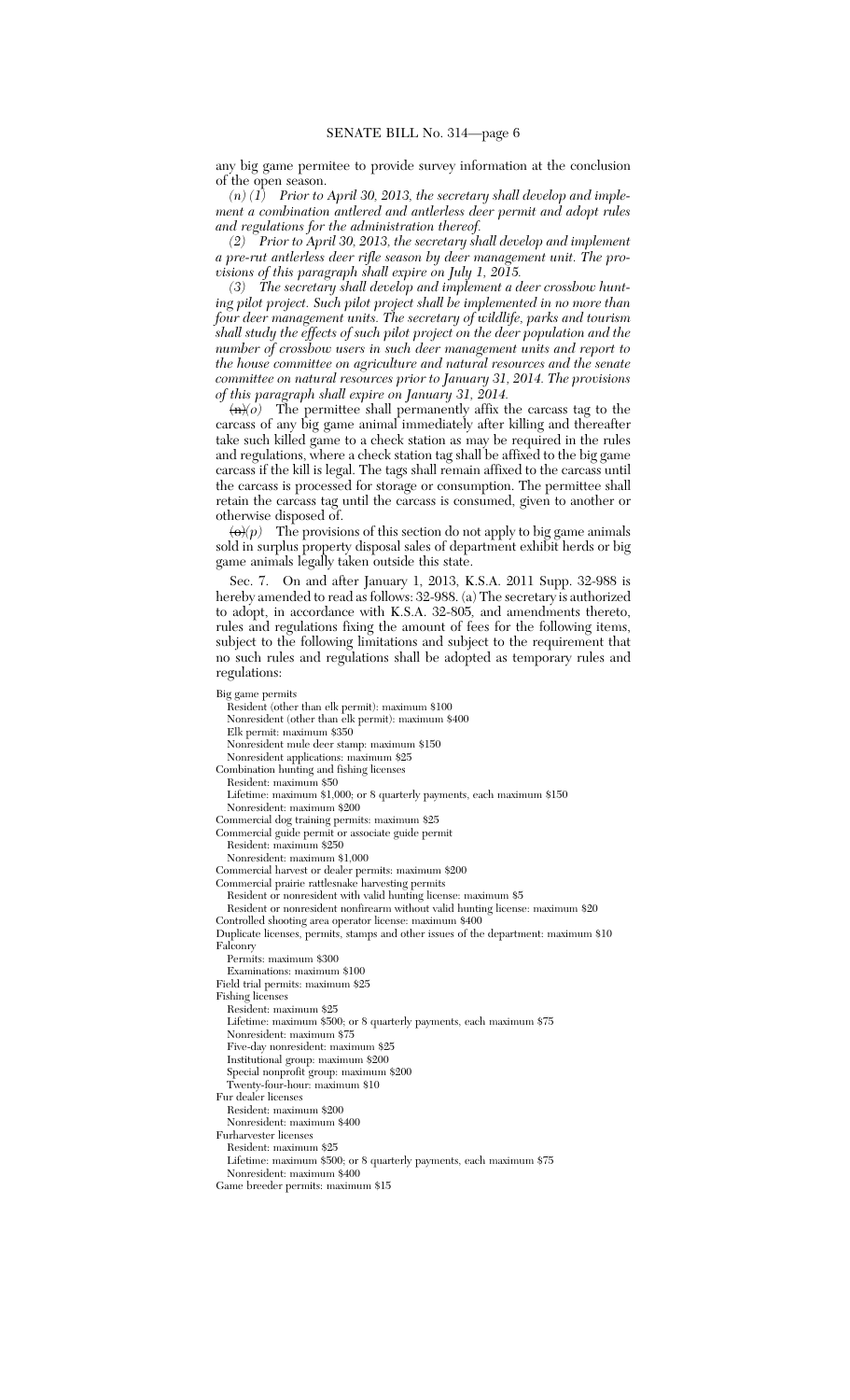any big game permitee to provide survey information at the conclusion of the open season.

*(n) (1) Prior to April 30, 2013, the secretary shall develop and implement a combination antlered and antlerless deer permit and adopt rules and regulations for the administration thereof.*

*(2) Prior to April 30, 2013, the secretary shall develop and implement a pre-rut antlerless deer rifle season by deer management unit. The provisions of this paragraph shall expire on July 1, 2015.*

*(3) The secretary shall develop and implement a deer crossbow hunting pilot project. Such pilot project shall be implemented in no more than four deer management units. The secretary of wildlife, parks and tourism shall study the effects of such pilot project on the deer population and the number of crossbow users in such deer management units and report to the house committee on agriculture and natural resources and the senate committee on natural resources prior to January 31, 2014. The provisions of this paragraph shall expire on January 31, 2014.*

 $\langle n \rangle$  The permittee shall permanently affix the carcass tag to the carcass of any big game animal immediately after killing and thereafter take such killed game to a check station as may be required in the rules and regulations, where a check station tag shall be affixed to the big game carcass if the kill is legal. The tags shall remain affixed to the carcass until the carcass is processed for storage or consumption. The permittee shall retain the carcass tag until the carcass is consumed, given to another or otherwise disposed of.

 $\langle \Theta \rangle(p)$  The provisions of this section do not apply to big game animals sold in surplus property disposal sales of department exhibit herds or big game animals legally taken outside this state.

Sec. 7. On and after January 1, 2013, K.S.A. 2011 Supp. 32-988 is hereby amended to read as follows: 32-988. (a) The secretary is authorized to adopt, in accordance with K.S.A. 32-805*,* and amendments thereto, rules and regulations fixing the amount of fees for the following items, subject to the following limitations and subject to the requirement that no such rules and regulations shall be adopted as temporary rules and regulations:

Big game permits Resident (other than elk permit): maximum \$100 Nonresident (other than elk permit): maximum \$400 Elk permit: maximum \$350 Nonresident mule deer stamp: maximum \$150 Nonresident applications: maximum \$25 Combination hunting and fishing licenses Resident: maximum \$50 Lifetime: maximum \$1,000; or 8 quarterly payments, each maximum \$150 Nonresident: maximum \$200 Commercial dog training permits: maximum \$25 Commercial guide permit or associate guide permit Resident: maximum \$250 Nonresident: maximum \$1,000 Commercial harvest or dealer permits: maximum \$200 Commercial prairie rattlesnake harvesting permits Resident or nonresident with valid hunting license: maximum \$5 Resident or nonresident nonfirearm without valid hunting license: maximum \$20 Controlled shooting area operator license: maximum \$400 Duplicate licenses, permits, stamps and other issues of the department: maximum \$10 Falconry Permits: maximum \$300 Examinations: maximum \$100 Field trial permits: maximum \$25 Fishing licenses Resident: maximum \$25 Lifetime: maximum \$500; or 8 quarterly payments, each maximum \$75 Nonresident: maximum \$75 Five-day nonresident: maximum \$25 Institutional group: maximum \$200 Special nonprofit group: maximum \$200 Twenty-four-hour: maximum \$10 Fur dealer licenses Resident: maximum \$200 Nonresident: maximum \$400 Furharvester licenses Resident: maximum \$25 Lifetime: maximum \$500; or 8 quarterly payments, each maximum \$75 Nonresident: maximum \$400 Game breeder permits: maximum \$15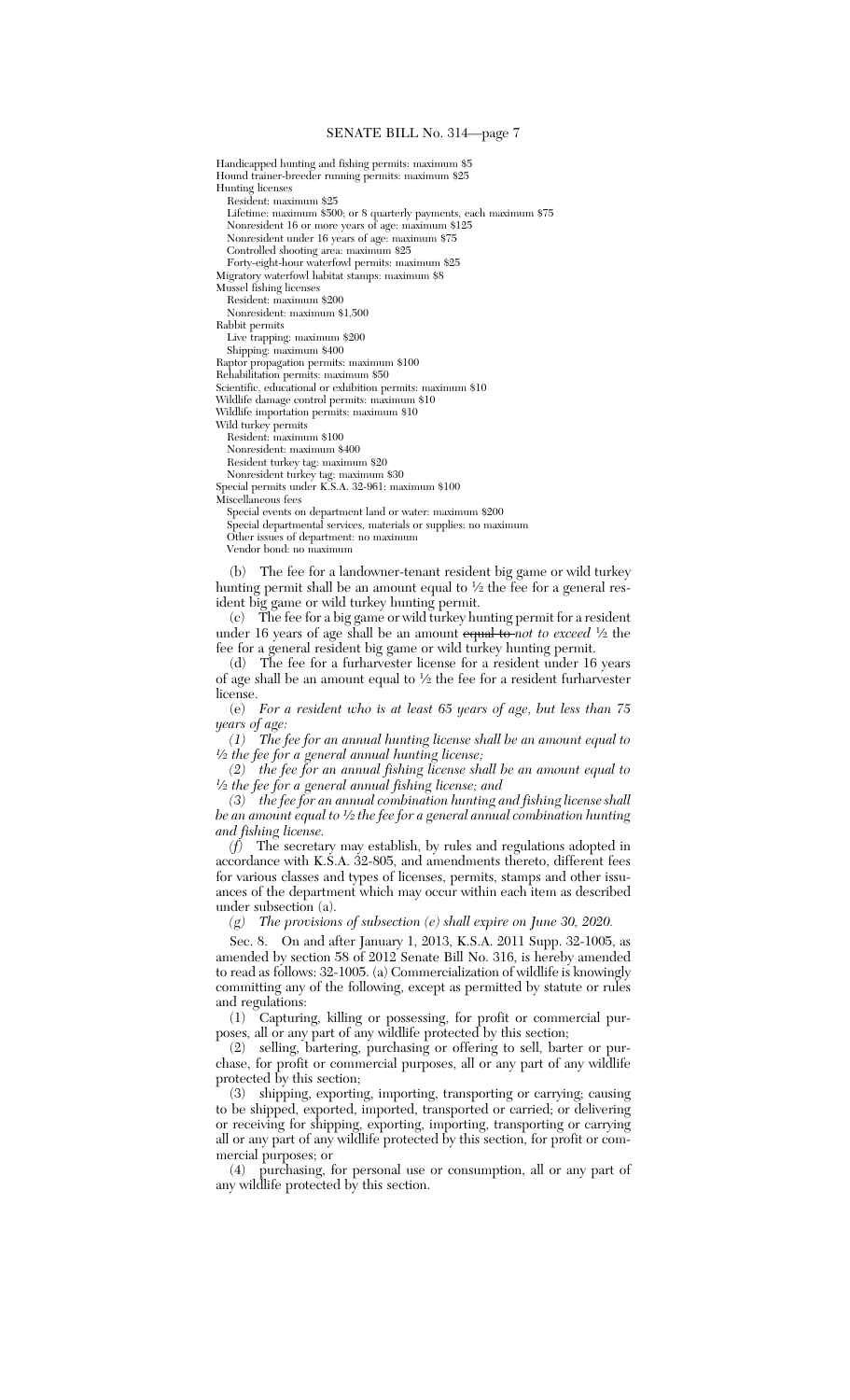### SENATE BILL No. 314—page 7

Hound trainer-breeder running permits: maximum \$25 Hunting licenses Resident: maximum \$25 Lifetime: maximum \$500; or 8 quarterly payments, each maximum \$75 Nonresident 16 or more years of age: maximum \$125 Nonresident under 16 years of age: maximum \$75 Controlled shooting area: maximum \$25 Forty-eight-hour waterfowl permits: maximum \$25 Migratory waterfowl habitat stamps: maximum \$8 Mussel fishing licenses Resident: maximum \$200 Nonresident: maximum \$1,500 Rabbit permits Live trapping: maximum \$200 Shipping: maximum \$400 Raptor propagation permits: maximum \$100 Rehabilitation permits: maximum \$50 Scientific, educational or exhibition permits: maximum \$10 Wildlife damage control permits: maximum \$10 Wildlife importation permits: maximum \$10 Wild turkey permits Resident: maximum \$100 Nonresident: maximum \$400 Resident turkey tag: maximum \$20 Nonresident turkey tag: maximum \$30 Special permits under K.S.A. 32-961: maximum \$100 Miscellaneous fees Special events on department land or water: maximum \$200 Special departmental services, materials or supplies: no maximum Other issues of department: no maximum Vendor bond: no maximum (b) The fee for a landowner-tenant resident big game or wild turkey hunting permit shall be an amount equal to <sup>1</sup> ⁄2 the fee for a general res-

Handicapped hunting and fishing permits: maximum \$5

ident big game or wild turkey hunting permit. (c) The fee for a big game or wild turkey hunting permit for a resident under 16 years of age shall be an amount equal to *not to exceed* 1/2 the fee for a general resident big game or wild turkey hunting permit.

(d) The fee for a furharvester license for a resident under 16 years of age shall be an amount equal to <sup>1</sup> ⁄2 the fee for a resident furharvester license.

(e) *For a resident who is at least 65 years of age, but less than 75 years of age:*

*(1) The fee for an annual hunting license shall be an amount equal to 1 ⁄2 the fee for a general annual hunting license;*

*(2) the fee for an annual fishing license shall be an amount equal to 1 ⁄2 the fee for a general annual fishing license; and*

*(3) the fee for an annual combination hunting and fishing license shall be an amount equal to <sup>1</sup> ⁄2 the fee for a general annual combination hunting and fishing license.*

*(f)* The secretary may establish, by rules and regulations adopted in accordance with K.S.A. 32-805, and amendments thereto, different fees for various classes and types of licenses, permits, stamps and other issuances of the department which may occur within each item as described under subsection (a).

*(g) The provisions of subsection (e) shall expire on June 30, 2020.*

Sec. 8. On and after January 1, 2013, K.S.A. 2011 Supp. 32-1005, as amended by section 58 of 2012 Senate Bill No. 316, is hereby amended to read as follows: 32-1005. (a) Commercialization of wildlife is knowingly committing any of the following, except as permitted by statute or rules and regulations:

(1) Capturing, killing or possessing, for profit or commercial purposes, all or any part of any wildlife protected by this section;

(2) selling, bartering, purchasing or offering to sell, barter or purchase, for profit or commercial purposes, all or any part of any wildlife protected by this section;

(3) shipping, exporting, importing, transporting or carrying; causing to be shipped, exported, imported, transported or carried; or delivering or receiving for shipping, exporting, importing, transporting or carrying all or any part of any wildlife protected by this section, for profit or commercial purposes; or

(4) purchasing, for personal use or consumption, all or any part of any wildlife protected by this section.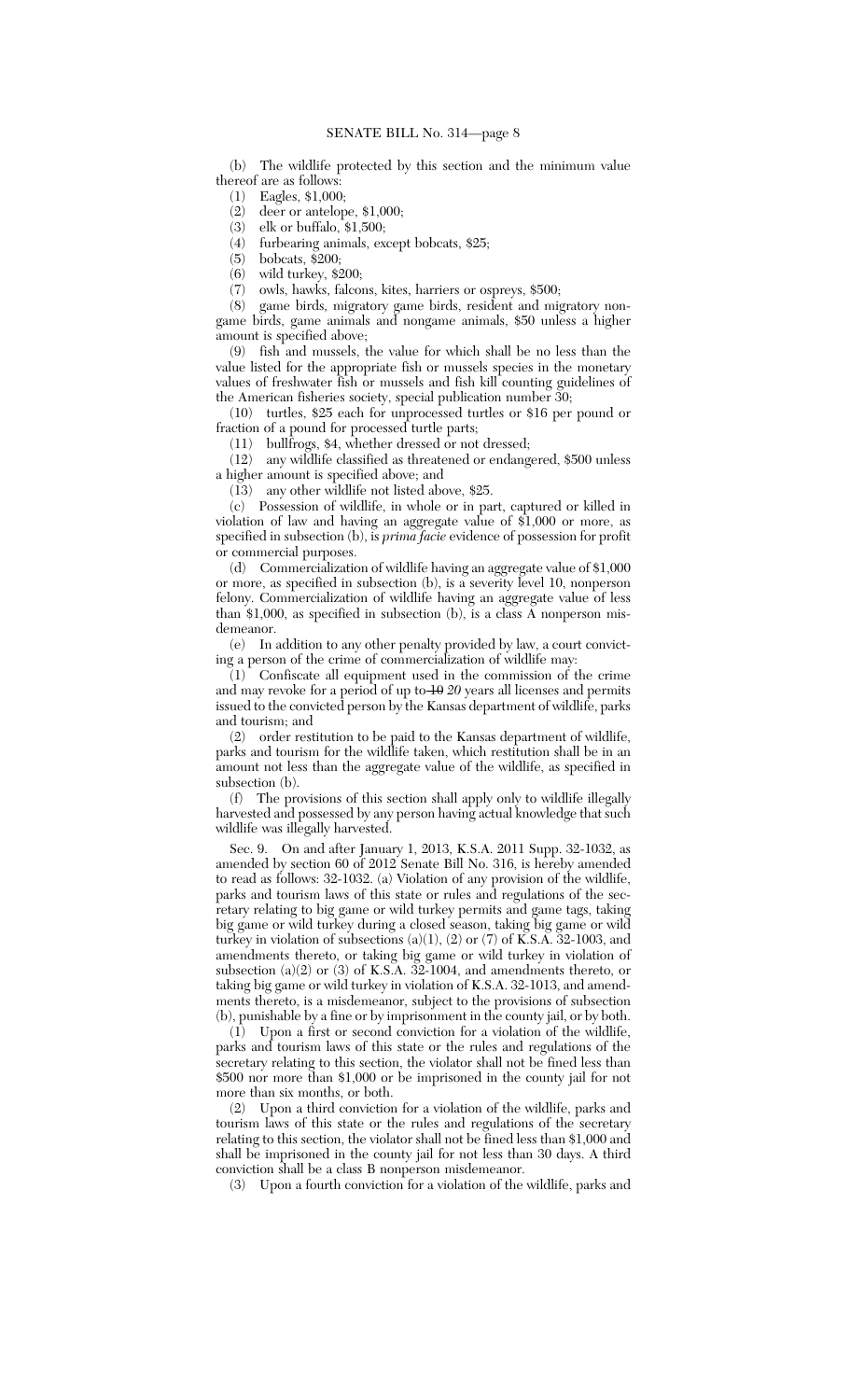#### SENATE BILL No. 314—page 8

(b) The wildlife protected by this section and the minimum value thereof are as follows:

(1) Eagles, \$1,000;

(2) deer or antelope, \$1,000;

(3) elk or buffalo, \$1,500;

(4) furbearing animals, except bobcats, \$25;

(5) bobcats, \$200;

(6) wild turkey, \$200;

(7) owls, hawks, falcons, kites, harriers or ospreys, \$500;

(8) game birds, migratory game birds, resident and migratory nongame birds, game animals and nongame animals, \$50 unless a higher amount is specified above;

(9) fish and mussels, the value for which shall be no less than the value listed for the appropriate fish or mussels species in the monetary values of freshwater fish or mussels and fish kill counting guidelines of the American fisheries society, special publication number 30;

(10) turtles, \$25 each for unprocessed turtles or \$16 per pound or fraction of a pound for processed turtle parts;

(11) bullfrogs, \$4, whether dressed or not dressed;

(12) any wildlife classified as threatened or endangered, \$500 unless a higher amount is specified above; and

(13) any other wildlife not listed above, \$25.

(c) Possession of wildlife, in whole or in part, captured or killed in violation of law and having an aggregate value of \$1,000 or more, as specified in subsection (b), is *prima facie* evidence of possession for profit or commercial purposes.

(d) Commercialization of wildlife having an aggregate value of \$1,000 or more, as specified in subsection (b), is a severity level 10, nonperson felony. Commercialization of wildlife having an aggregate value of less than \$1,000, as specified in subsection (b), is a class A nonperson misdemeanor.

(e) In addition to any other penalty provided by law, a court convicting a person of the crime of commercialization of wildlife may:

 $(1)$  Confiscate all equipment used in the commission of the crime and may revoke for a period of up to 10 *20* years all licenses and permits issued to the convicted person by the Kansas department of wildlife, parks and tourism; and

(2) order restitution to be paid to the Kansas department of wildlife, parks and tourism for the wildlife taken, which restitution shall be in an amount not less than the aggregate value of the wildlife, as specified in subsection (b).

(f) The provisions of this section shall apply only to wildlife illegally harvested and possessed by any person having actual knowledge that such wildlife was illegally harvested.

Sec. 9. On and after January 1, 2013, K.S.A. 2011 Supp. 32-1032, as amended by section 60 of 2012 Senate Bill No. 316, is hereby amended to read as follows: 32-1032. (a) Violation of any provision of the wildlife, parks and tourism laws of this state or rules and regulations of the secretary relating to big game or wild turkey permits and game tags, taking big game or wild turkey during a closed season, taking big game or wild turkey in violation of subsections  $(a)(1)$ ,  $(2)$  or  $(7)$  of K.S.A. 32-1003, and amendments thereto, or taking big game or wild turkey in violation of subsection  $(a)(2)$  or  $(3)$  of K.S.A. 32-1004, and amendments thereto, or taking big game or wild turkey in violation of K.S.A. 32-1013, and amendments thereto, is a misdemeanor, subject to the provisions of subsection (b), punishable by a fine or by imprisonment in the county jail, or by both.

(1) Upon a first or second conviction for a violation of the wildlife, parks and tourism laws of this state or the rules and regulations of the secretary relating to this section, the violator shall not be fined less than \$500 nor more than \$1,000 or be imprisoned in the county jail for not more than six months, or both.

(2) Upon a third conviction for a violation of the wildlife, parks and tourism laws of this state or the rules and regulations of the secretary relating to this section, the violator shall not be fined less than \$1,000 and shall be imprisoned in the county jail for not less than 30 days. A third conviction shall be a class B nonperson misdemeanor.

(3) Upon a fourth conviction for a violation of the wildlife, parks and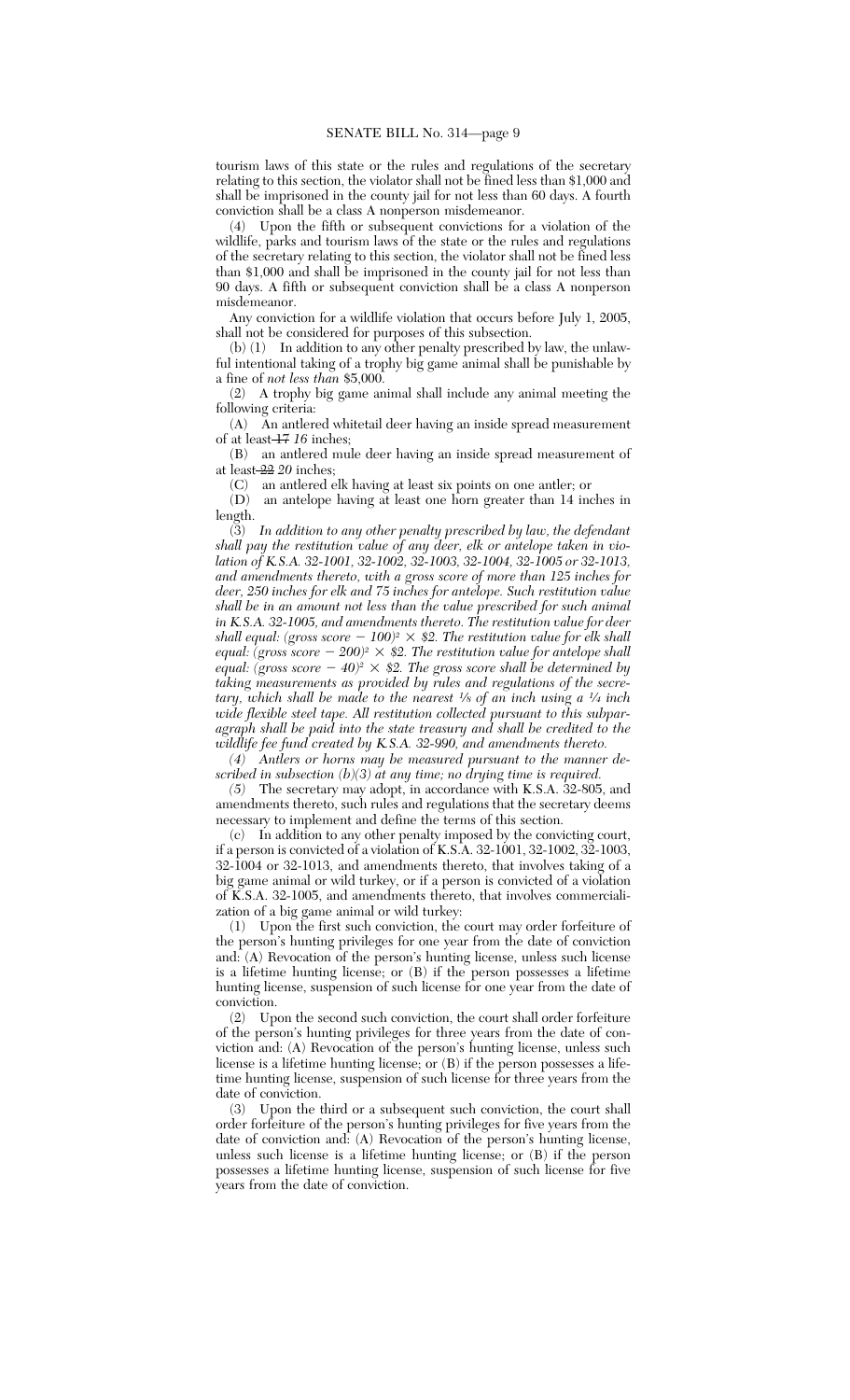tourism laws of this state or the rules and regulations of the secretary relating to this section, the violator shall not be fined less than \$1,000 and shall be imprisoned in the county jail for not less than 60 days. A fourth conviction shall be a class A nonperson misdemeanor.

(4) Upon the fifth or subsequent convictions for a violation of the wildlife, parks and tourism laws of the state or the rules and regulations of the secretary relating to this section, the violator shall not be fined less than \$1,000 and shall be imprisoned in the county jail for not less than 90 days. A fifth or subsequent conviction shall be a class A nonperson misdemeanor.

Any conviction for a wildlife violation that occurs before July 1, 2005, shall not be considered for purposes of this subsection.

(b) (1) In addition to any other penalty prescribed by law, the unlawful intentional taking of a trophy big game animal shall be punishable by a fine of *not less than* \$5,000.

(2) A trophy big game animal shall include any animal meeting the following criteria:

(A) An antlered whitetail deer having an inside spread measurement of at least 17 *16* inches;

(B) an antlered mule deer having an inside spread measurement of at least 22 *20* inches;

(C) an antlered elk having at least six points on one antler; or

(D) an antelope having at least one horn greater than 14 inches in length.

(3) *In addition to any other penalty prescribed by law, the defendant shall pay the restitution value of any deer, elk or antelope taken in violation of K.S.A. 32-1001, 32-1002, 32-1003, 32-1004, 32-1005 or 32-1013, and amendments thereto, with a gross score of more than 125 inches for deer, 250 inches for elk and 75 inches for antelope. Such restitution value shall be in an amount not less than the value prescribed for such animal in K.S.A. 32-1005, and amendments thereto. The restitution value for deer shall equal: (gross score*  $- 100$ )<sup>2</sup>  $\times$  \$2. The restitution value for elk shall *equal: (gross score* 2 *200)<sup>2</sup>* 2 *\$2. The restitution value for antelope shall equal: (gross score*  $-$  *40)* $^{\circ}$   $\times$  \$2. The gross score shall be determined by *taking measurements as provided by rules and regulations of the secretary, which shall be made to the nearest <sup>1</sup> ⁄<sup>8</sup> of an inch using a <sup>1</sup> ⁄4 inch wide flexible steel tape. All restitution collected pursuant to this subparagraph shall be paid into the state treasury and shall be credited to the wildlife fee fund created by K.S.A. 32-990, and amendments thereto.*

*(4) Antlers or horns may be measured pursuant to the manner described in subsection (b)(3) at any time; no drying time is required.*

*(5)* The secretary may adopt, in accordance with K.S.A. 32-805, and amendments thereto, such rules and regulations that the secretary deems necessary to implement and define the terms of this section.

(c) In addition to any other penalty imposed by the convicting court, if a person is convicted of a violation of K.S.A. 32-1001, 32-1002, 32-1003, 32-1004 or 32-1013, and amendments thereto, that involves taking of a big game animal or wild turkey, or if a person is convicted of a violation of K.S.A. 32-1005, and amendments thereto, that involves commercialization of a big game animal or wild turkey:

(1) Upon the first such conviction, the court may order forfeiture of the person's hunting privileges for one year from the date of conviction and: (A) Revocation of the person's hunting license, unless such license is a lifetime hunting license; or (B) if the person possesses a lifetime hunting license, suspension of such license for one year from the date of conviction.

(2) Upon the second such conviction, the court shall order forfeiture of the person's hunting privileges for three years from the date of conviction and: (A) Revocation of the person's hunting license, unless such license is a lifetime hunting license; or (B) if the person possesses a lifetime hunting license, suspension of such license for three years from the date of conviction.

(3) Upon the third or a subsequent such conviction, the court shall order forfeiture of the person's hunting privileges for five years from the date of conviction and: (A) Revocation of the person's hunting license, unless such license is a lifetime hunting license; or (B) if the person possesses a lifetime hunting license, suspension of such license for five years from the date of conviction.